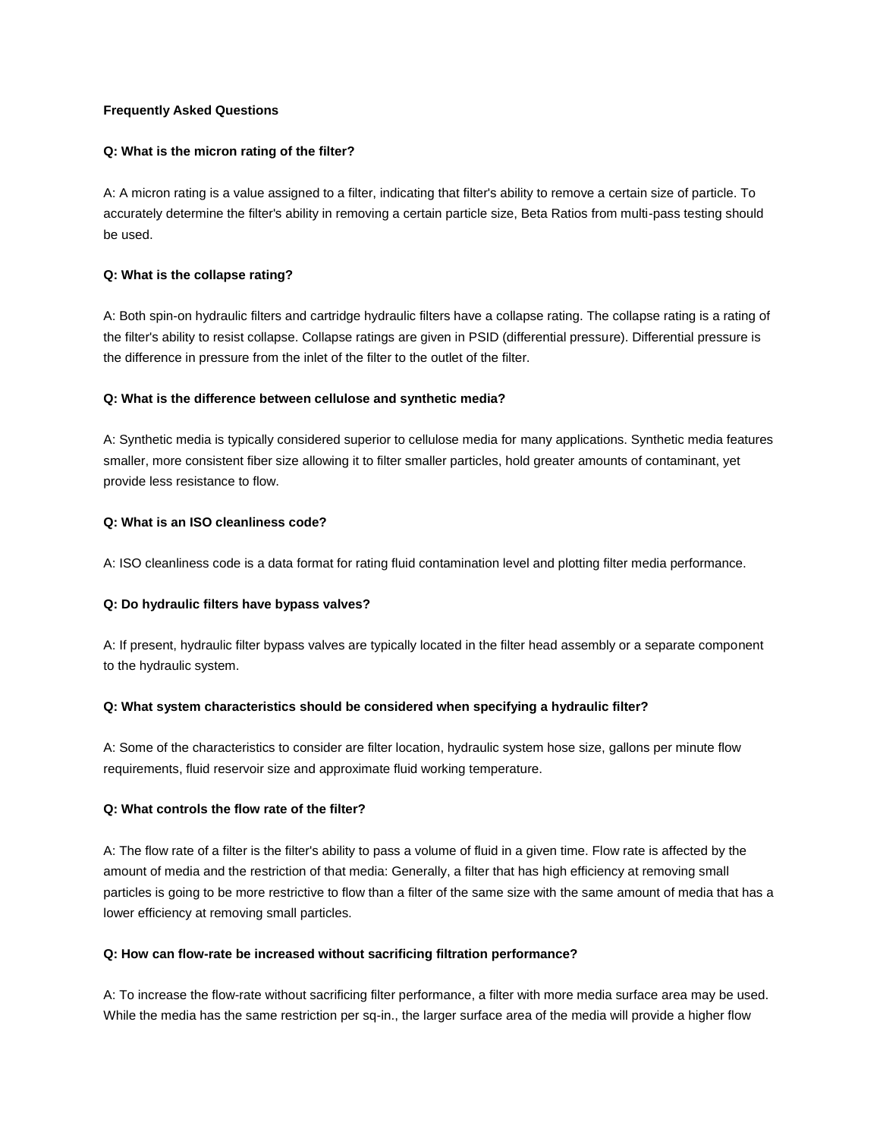# **Frequently Asked Questions**

#### **Q: What is the micron rating of the filter?**

A: A micron rating is a value assigned to a filter, indicating that filter's ability to remove a certain size of particle. To accurately determine the filter's ability in removing a certain particle size, Beta Ratios from multi-pass testing should be used.

#### **Q: What is the collapse rating?**

A: Both spin-on hydraulic filters and cartridge hydraulic filters have a collapse rating. The collapse rating is a rating of the filter's ability to resist collapse. Collapse ratings are given in PSID (differential pressure). Differential pressure is the difference in pressure from the inlet of the filter to the outlet of the filter.

## **Q: What is the difference between cellulose and synthetic media?**

A: Synthetic media is typically considered superior to cellulose media for many applications. Synthetic media features smaller, more consistent fiber size allowing it to filter smaller particles, hold greater amounts of contaminant, yet provide less resistance to flow.

## **Q: What is an ISO cleanliness code?**

A: ISO cleanliness code is a data format for rating fluid contamination level and plotting filter media performance.

#### **Q: Do hydraulic filters have bypass valves?**

A: If present, hydraulic filter bypass valves are typically located in the filter head assembly or a separate component to the hydraulic system.

#### **Q: What system characteristics should be considered when specifying a hydraulic filter?**

A: Some of the characteristics to consider are filter location, hydraulic system hose size, gallons per minute flow requirements, fluid reservoir size and approximate fluid working temperature.

## **Q: What controls the flow rate of the filter?**

A: The flow rate of a filter is the filter's ability to pass a volume of fluid in a given time. Flow rate is affected by the amount of media and the restriction of that media: Generally, a filter that has high efficiency at removing small particles is going to be more restrictive to flow than a filter of the same size with the same amount of media that has a lower efficiency at removing small particles.

#### **Q: How can flow-rate be increased without sacrificing filtration performance?**

A: To increase the flow-rate without sacrificing filter performance, a filter with more media surface area may be used. While the media has the same restriction per sq-in., the larger surface area of the media will provide a higher flow